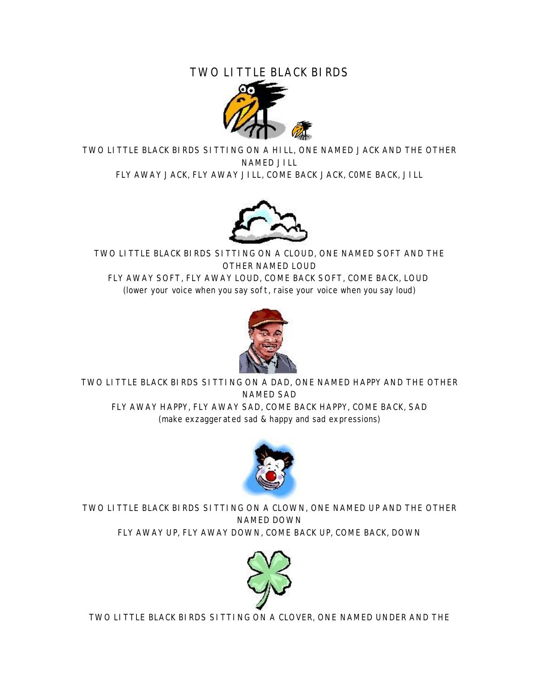## TWO LITTLE BLACK BIRDS



TWO LITTLE BLACK BIRDS SITTING ON A HILL, ONE NAMED JACK AND THE OTHER NAMED JILL FLY AWAY JACK, FLY AWAY JILL, COME BACK JACK, C0ME BACK, JILL



TWO LITTLE BLACK BIRDS SITTING ON A CLOUD, ONE NAMED SOFT AND THE OTHER NAMED LOUD FLY AWAY SOFT, FLY AWAY LOUD, COME BACK SOFT, COME BACK, LOUD (lower your voice when you say soft, raise your voice when you say loud)



TWO LITTLE BLACK BIRDS SITTING ON A DAD, ONE NAMED HAPPY AND THE OTHER NAMED SAD FLY AWAY HAPPY, FLY AWAY SAD, COME BACK HAPPY, COME BACK, SAD (make exzaggerated sad & happy and sad expressions)



TWO LITTLE BLACK BIRDS SITTING ON A CLOWN, ONE NAMED UP AND THE OTHER NAMED DOWN FLY AWAY UP, FLY AWAY DOWN, COME BACK UP, COME BACK, DOWN



TWO LITTLE BLACK BIRDS SITTING ON A CLOVER, ONE NAMED UNDER AND THE